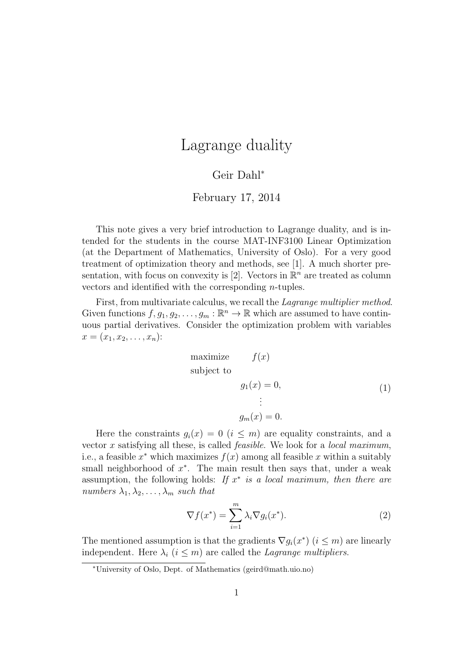## Lagrange duality

## Geir Dahl<sup>∗</sup>

## February 17, 2014

This note gives a very brief introduction to Lagrange duality, and is intended for the students in the course MAT-INF3100 Linear Optimization (at the Department of Mathematics, University of Oslo). For a very good treatment of optimization theory and methods, see [1]. A much shorter presentation, with focus on convexity is [2]. Vectors in  $\mathbb{R}^n$  are treated as column vectors and identified with the corresponding n-tuples.

First, from multivariate calculus, we recall the Lagrange multiplier method. Given functions  $f, g_1, g_2, \ldots, g_m : \mathbb{R}^n \to \mathbb{R}$  which are assumed to have continuous partial derivatives. Consider the optimization problem with variables  $x = (x_1, x_2, \ldots, x_n)$ :

maximize 
$$
f(x)
$$
  
\nsubject to  
\n $g_1(x) = 0,$   
\n $\vdots$   
\n $g_m(x) = 0.$  (1)

Here the constraints  $g_i(x) = 0$   $(i \leq m)$  are equality constraints, and a vector x satisfying all these, is called *feasible*. We look for a *local maximum*, i.e., a feasible  $x^*$  which maximizes  $f(x)$  among all feasible x within a suitably small neighborhood of  $x^*$ . The main result then says that, under a weak assumption, the following holds: If  $x^*$  is a local maximum, then there are numbers  $\lambda_1, \lambda_2, \ldots, \lambda_m$  such that

$$
\nabla f(x^*) = \sum_{i=1}^m \lambda_i \nabla g_i(x^*).
$$
 (2)

The mentioned assumption is that the gradients  $\nabla g_i(x^*)$   $(i \leq m)$  are linearly independent. Here  $\lambda_i$   $(i \leq m)$  are called the *Lagrange multipliers*.

<sup>∗</sup>University of Oslo, Dept. of Mathematics (geird@math.uio.no)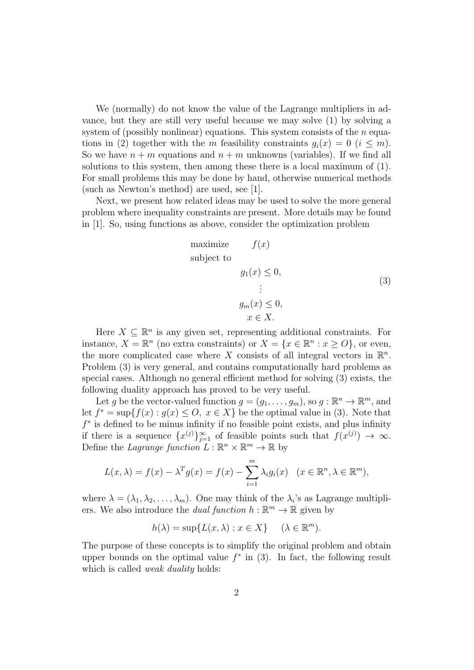We (normally) do not know the value of the Lagrange multipliers in advance, but they are still very useful because we may solve (1) by solving a system of (possibly nonlinear) equations. This system consists of the  $n$  equations in (2) together with the m feasibility constraints  $q_i(x) = 0$  ( $i \leq m$ ). So we have  $n + m$  equations and  $n + m$  unknowns (variables). If we find all solutions to this system, then among these there is a local maximum of (1). For small problems this may be done by hand, otherwise numerical methods (such as Newton's method) are used, see [1].

Next, we present how related ideas may be used to solve the more general problem where inequality constraints are present. More details may be found in [1]. So, using functions as above, consider the optimization problem

maximize 
$$
f(x)
$$
  
\nsubject to  
\n $g_1(x) \le 0,$   
\n $\vdots$   
\n $g_m(x) \le 0,$   
\n $x \in X.$  (3)

Here  $X \subseteq \mathbb{R}^n$  is any given set, representing additional constraints. For instance,  $X = \mathbb{R}^n$  (no extra constraints) or  $X = \{x \in \mathbb{R}^n : x \ge 0\}$ , or even, the more complicated case where X consists of all integral vectors in  $\mathbb{R}^n$ . Problem (3) is very general, and contains computationally hard problems as special cases. Although no general efficient method for solving (3) exists, the following duality approach has proved to be very useful.

Let g be the vector-valued function  $g = (g_1, \ldots, g_m)$ , so  $g : \mathbb{R}^n \to \mathbb{R}^m$ , and let  $f^* = \sup\{f(x) : g(x) \leq O, x \in X\}$  be the optimal value in (3). Note that  $f^*$  is defined to be minus infinity if no feasible point exists, and plus infinity if there is a sequence  $\{x^{(j)}\}_{j=1}^{\infty}$  of feasible points such that  $f(x^{(j)}) \to \infty$ . Define the Lagrange function  $L : \mathbb{R}^n \times \mathbb{R}^m \to \mathbb{R}$  by

$$
L(x,\lambda) = f(x) - \lambda^T g(x) = f(x) - \sum_{i=1}^m \lambda_i g_i(x) \quad (x \in \mathbb{R}^n, \lambda \in \mathbb{R}^m),
$$

where  $\lambda = (\lambda_1, \lambda_2, \dots, \lambda_m)$ . One may think of the  $\lambda_i$ 's as Lagrange multipliers. We also introduce the *dual function*  $h : \mathbb{R}^m \to \mathbb{R}$  given by

$$
h(\lambda) = \sup \{ L(x, \lambda) : x \in X \} \quad (\lambda \in \mathbb{R}^m).
$$

The purpose of these concepts is to simplify the original problem and obtain upper bounds on the optimal value  $f^*$  in (3). In fact, the following result which is called *weak duality* holds: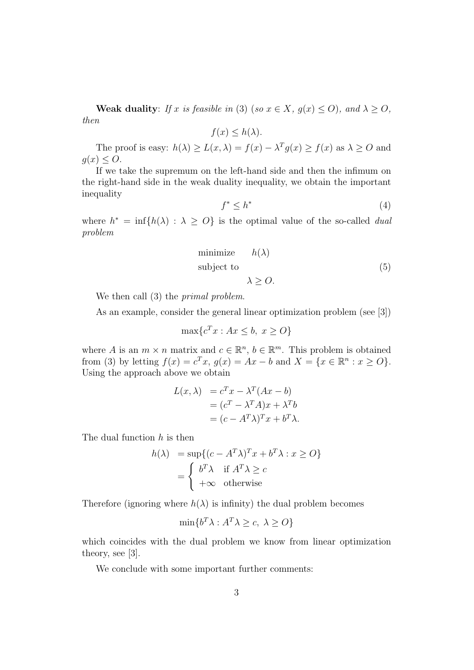Weak duality: If x is feasible in (3) (so  $x \in X$ ,  $g(x) \le O$ ), and  $\lambda \ge O$ , then

 $f(x) \leq h(\lambda)$ .

The proof is easy:  $h(\lambda) \ge L(x, \lambda) = f(x) - \lambda^T g(x) \ge f(x)$  as  $\lambda \ge O$  and  $g(x) \leq O.$ 

If we take the supremum on the left-hand side and then the infimum on the right-hand side in the weak duality inequality, we obtain the important inequality

$$
f^* \le h^* \tag{4}
$$

where  $h^* = \inf\{h(\lambda) : \lambda \geq 0\}$  is the optimal value of the so-called *dual* problem

minimize 
$$
h(\lambda)
$$
  
subject to  
 $\lambda \geq O.$  (5)

We then call (3) the *primal problem*.

As an example, consider the general linear optimization problem (see [3])

$$
\max\{c^T x : Ax \le b, x \ge O\}
$$

where A is an  $m \times n$  matrix and  $c \in \mathbb{R}^n$ ,  $b \in \mathbb{R}^m$ . This problem is obtained from (3) by letting  $f(x) = c^T x$ ,  $g(x) = Ax - b$  and  $X = \{x \in \mathbb{R}^n : x \ge 0\}.$ Using the approach above we obtain

$$
L(x, \lambda) = c^T x - \lambda^T (Ax - b)
$$
  
=  $(c^T - \lambda^T A)x + \lambda^T b$   
=  $(c - A^T \lambda)^T x + b^T \lambda$ .

The dual function h is then

$$
h(\lambda) = \sup \{ (c - A^T \lambda)^T x + b^T \lambda : x \ge 0 \}
$$
  
= 
$$
\begin{cases} b^T \lambda & \text{if } A^T \lambda \ge c \\ +\infty & \text{otherwise} \end{cases}
$$

Therefore (ignoring where  $h(\lambda)$  is infinity) the dual problem becomes

$$
\min\{b^T\lambda : A^T\lambda \ge c, \ \lambda \ge O\}
$$

which coincides with the dual problem we know from linear optimization theory, see [3].

We conclude with some important further comments: